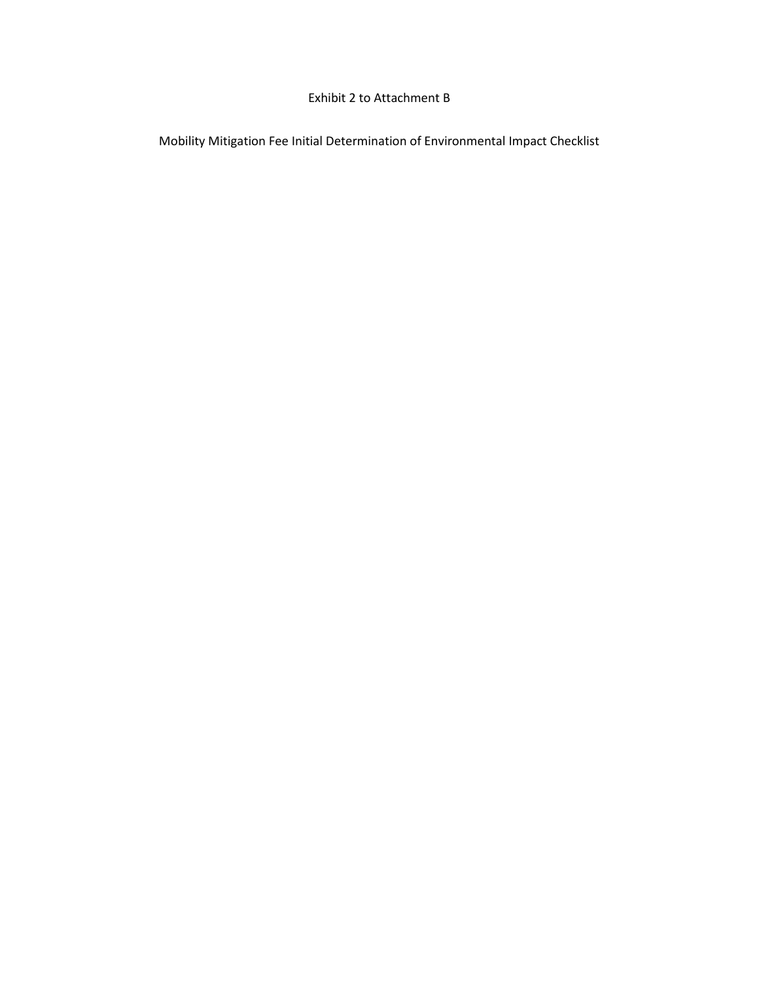### Exhibit 2 to Attachment B

Mobility Mitigation Fee Initial Determination of Environmental Impact Checklist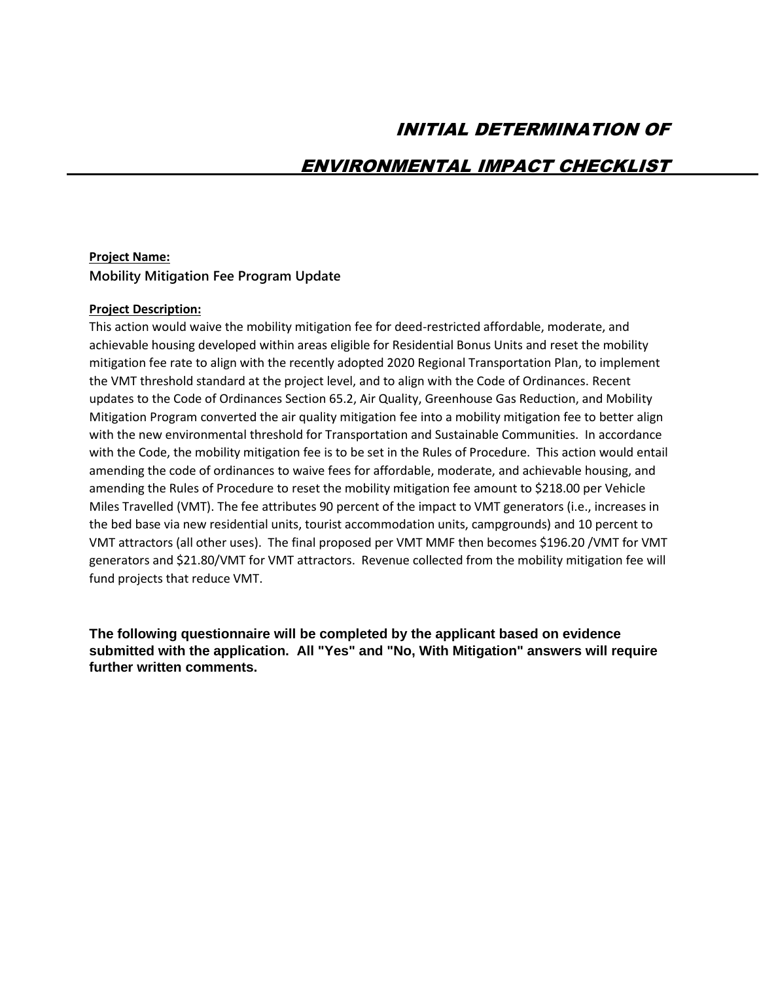# INITIAL DETERMINATION OF

# ENVIRONMENTAL IMPACT CHECKLIST

#### **Project Name:**

**Mobility Mitigation Fee Program Update**

#### **Project Description:**

This action would waive the mobility mitigation fee for deed-restricted affordable, moderate, and achievable housing developed within areas eligible for Residential Bonus Units and reset the mobility mitigation fee rate to align with the recently adopted 2020 Regional Transportation Plan, to implement the VMT threshold standard at the project level, and to align with the Code of Ordinances. Recent updates to the Code of Ordinances Section 65.2, Air Quality, Greenhouse Gas Reduction, and Mobility Mitigation Program converted the air quality mitigation fee into a mobility mitigation fee to better align with the new environmental threshold for Transportation and Sustainable Communities. In accordance with the Code, the mobility mitigation fee is to be set in the Rules of Procedure. This action would entail amending the code of ordinances to waive fees for affordable, moderate, and achievable housing, and amending the Rules of Procedure to reset the mobility mitigation fee amount to \$218.00 per Vehicle Miles Travelled (VMT). The fee attributes 90 percent of the impact to VMT generators (i.e., increases in the bed base via new residential units, tourist accommodation units, campgrounds) and 10 percent to VMT attractors (all other uses). The final proposed per VMT MMF then becomes \$196.20 /VMT for VMT generators and \$21.80/VMT for VMT attractors. Revenue collected from the mobility mitigation fee will fund projects that reduce VMT.

**The following questionnaire will be completed by the applicant based on evidence submitted with the application. All "Yes" and "No, With Mitigation" answers will require further written comments.**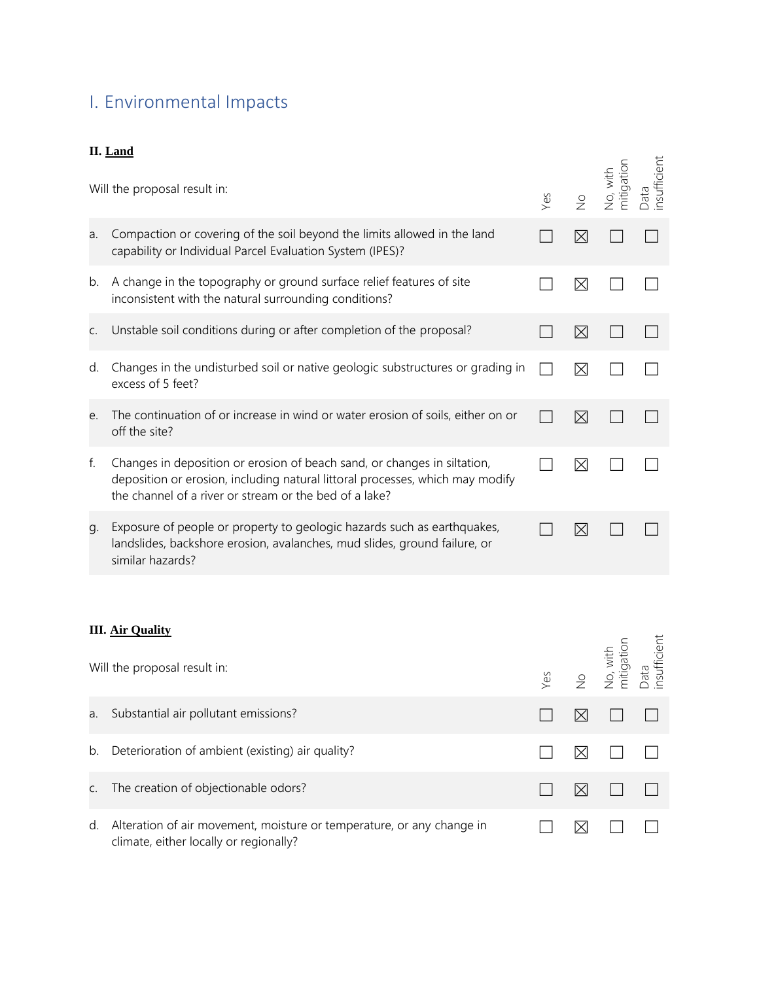# I. Environmental Impacts

# **II. Land**

|             | п. папа<br>Will the proposal result in:                                                                                                                                                                             | Yes | $\frac{1}{2}$ | No, with<br>mitigation | Data<br>insufficient |
|-------------|---------------------------------------------------------------------------------------------------------------------------------------------------------------------------------------------------------------------|-----|---------------|------------------------|----------------------|
| a.          | Compaction or covering of the soil beyond the limits allowed in the land<br>capability or Individual Parcel Evaluation System (IPES)?                                                                               |     | ⊠             |                        |                      |
| b.          | A change in the topography or ground surface relief features of site<br>inconsistent with the natural surrounding conditions?                                                                                       |     | M             |                        |                      |
| $C_{\cdot}$ | Unstable soil conditions during or after completion of the proposal?                                                                                                                                                |     | ⊠             |                        |                      |
| d.          | Changes in the undisturbed soil or native geologic substructures or grading in<br>excess of 5 feet?                                                                                                                 |     | ⊠             |                        |                      |
| e.          | The continuation of or increase in wind or water erosion of soils, either on or<br>off the site?                                                                                                                    |     | ⊠             |                        |                      |
| f.          | Changes in deposition or erosion of beach sand, or changes in siltation,<br>deposition or erosion, including natural littoral processes, which may modify<br>the channel of a river or stream or the bed of a lake? |     | $\boxtimes$   |                        |                      |
| g.          | Exposure of people or property to geologic hazards such as earthquakes,<br>landslides, backshore erosion, avalanches, mud slides, ground failure, or<br>similar hazards?                                            |     | $\boxtimes$   |                        |                      |

# **III. Air Quality**

|    | Will the proposal result in:                                                                                    |  | Yes<br>No, with<br>No, with<br>mitigation<br>Data<br>Data |  |
|----|-----------------------------------------------------------------------------------------------------------------|--|-----------------------------------------------------------|--|
| a. | Substantial air pollutant emissions?                                                                            |  |                                                           |  |
| b. | Deterioration of ambient (existing) air quality?                                                                |  |                                                           |  |
| C. | The creation of objectionable odors?                                                                            |  |                                                           |  |
| d. | Alteration of air movement, moisture or temperature, or any change in<br>climate, either locally or regionally? |  |                                                           |  |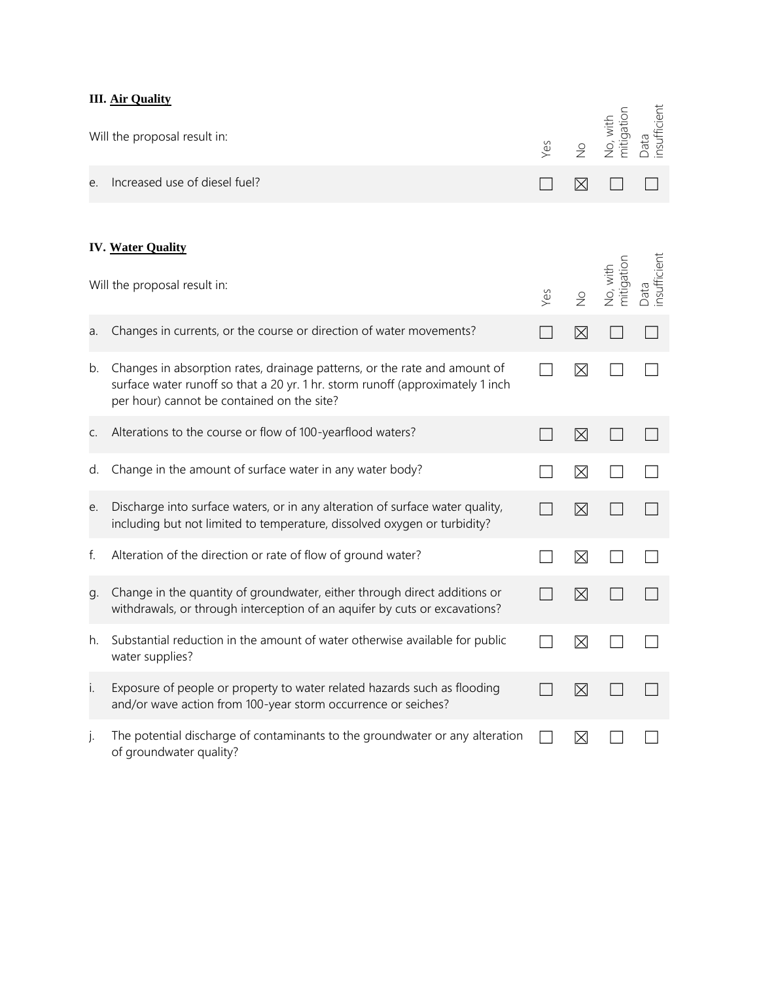## **III. Air Quality**

|    | ш. <u>ли учащу</u>                                                                                                                                                                                        |     |               |                        |                      |
|----|-----------------------------------------------------------------------------------------------------------------------------------------------------------------------------------------------------------|-----|---------------|------------------------|----------------------|
|    | Will the proposal result in:                                                                                                                                                                              | Yes | $\frac{1}{2}$ | mitigation<br>No, with | Data<br>insufficient |
| e. | Increased use of diesel fuel?                                                                                                                                                                             |     | $\boxtimes$   |                        |                      |
|    | <b>IV. Water Quality</b><br>Will the proposal result in:                                                                                                                                                  | Yes | $\frac{1}{2}$ | No, with<br>mitigation | Data<br>insufficient |
| a. | Changes in currents, or the course or direction of water movements?                                                                                                                                       |     | ⊠             |                        |                      |
| b. | Changes in absorption rates, drainage patterns, or the rate and amount of<br>surface water runoff so that a 20 yr. 1 hr. storm runoff (approximately 1 inch<br>per hour) cannot be contained on the site? |     | ⊠             |                        |                      |
| C. | Alterations to the course or flow of 100-yearflood waters?                                                                                                                                                |     | $\boxtimes$   |                        |                      |
| d. | Change in the amount of surface water in any water body?                                                                                                                                                  |     | ⊠             |                        |                      |
| e. | Discharge into surface waters, or in any alteration of surface water quality,<br>including but not limited to temperature, dissolved oxygen or turbidity?                                                 |     | ⊠             |                        |                      |
| f. | Alteration of the direction or rate of flow of ground water?                                                                                                                                              |     | ⊠             |                        |                      |
| g. | Change in the quantity of groundwater, either through direct additions or<br>withdrawals, or through interception of an aquifer by cuts or excavations?                                                   |     | ⊠             |                        |                      |
| h. | Substantial reduction in the amount of water otherwise available for public<br>water supplies?                                                                                                            |     | ⊠             |                        |                      |
| i. | Exposure of people or property to water related hazards such as flooding<br>and/or wave action from 100-year storm occurrence or seiches?                                                                 |     | $\boxtimes$   |                        |                      |
| j. | The potential discharge of contaminants to the groundwater or any alteration<br>of groundwater quality?                                                                                                   |     | $\boxtimes$   |                        |                      |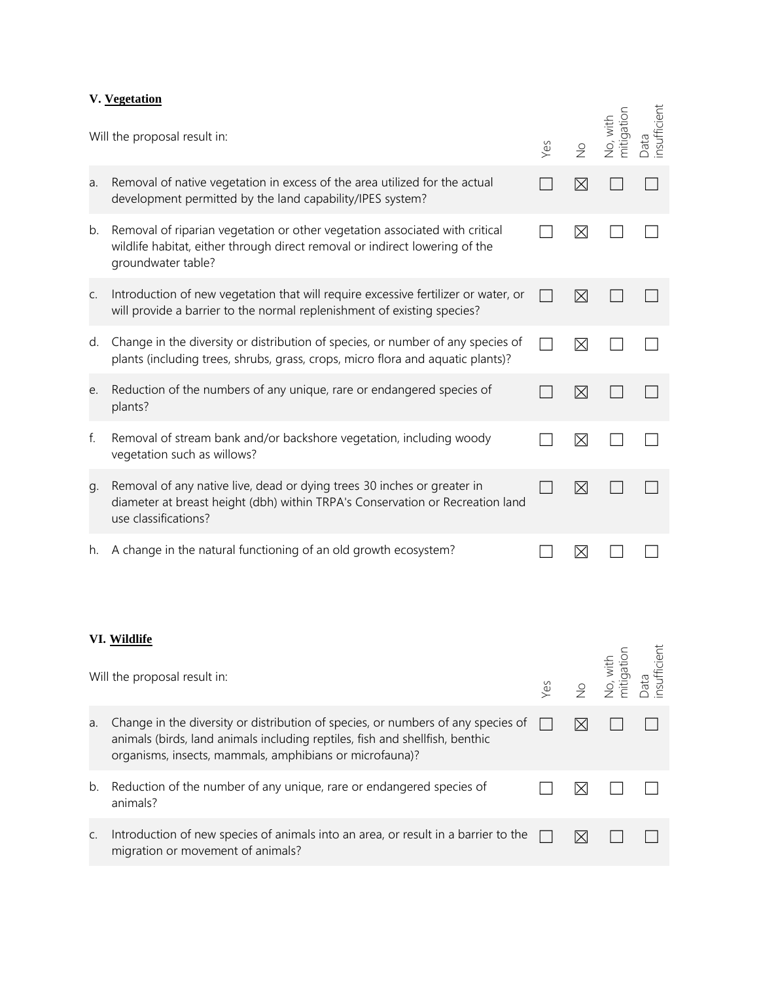#### **V. Vegetation**

|    | Will the proposal result in:                                                                                                                                                                                                | Yes | $\frac{1}{2}$ | No, with<br>mitigation | Data<br>insufficient |
|----|-----------------------------------------------------------------------------------------------------------------------------------------------------------------------------------------------------------------------------|-----|---------------|------------------------|----------------------|
| a. | Removal of native vegetation in excess of the area utilized for the actual<br>development permitted by the land capability/IPES system?                                                                                     |     | $\boxtimes$   |                        |                      |
| b. | Removal of riparian vegetation or other vegetation associated with critical<br>wildlife habitat, either through direct removal or indirect lowering of the<br>groundwater table?                                            |     | $\boxtimes$   |                        |                      |
| C. | Introduction of new vegetation that will require excessive fertilizer or water, or<br>will provide a barrier to the normal replenishment of existing species?                                                               |     | $\boxtimes$   |                        |                      |
| d. | Change in the diversity or distribution of species, or number of any species of<br>plants (including trees, shrubs, grass, crops, micro flora and aquatic plants)?                                                          |     | ⊠             |                        |                      |
| е. | Reduction of the numbers of any unique, rare or endangered species of<br>plants?                                                                                                                                            |     | $\boxtimes$   |                        |                      |
| f. | Removal of stream bank and/or backshore vegetation, including woody<br>vegetation such as willows?                                                                                                                          |     | $\boxtimes$   |                        |                      |
| g. | Removal of any native live, dead or dying trees 30 inches or greater in<br>diameter at breast height (dbh) within TRPA's Conservation or Recreation land<br>use classifications?                                            |     | $\boxtimes$   |                        |                      |
| h. | A change in the natural functioning of an old growth ecosystem?                                                                                                                                                             |     | $\boxtimes$   |                        |                      |
|    | VI. Wildlife                                                                                                                                                                                                                |     |               | $\overline{5}$ .       | ent                  |
|    | Will the proposal result in:                                                                                                                                                                                                | Yes | $\frac{1}{2}$ | No, with<br>mitigatii  | Data<br>insuffici    |
| a. | Change in the diversity or distribution of species, or numbers of any species of<br>animals (birds, land animals including reptiles, fish and shellfish, benthic<br>organisms, insects, mammals, amphibians or microfauna)? |     | ⊠             |                        |                      |
| b. | Reduction of the number of any unique, rare or endangered species of<br>animals?                                                                                                                                            |     | $\boxtimes$   |                        |                      |
| C. | Introduction of new species of animals into an area, or result in a barrier to the<br>migration or movement of animals?                                                                                                     |     | $\boxtimes$   |                        |                      |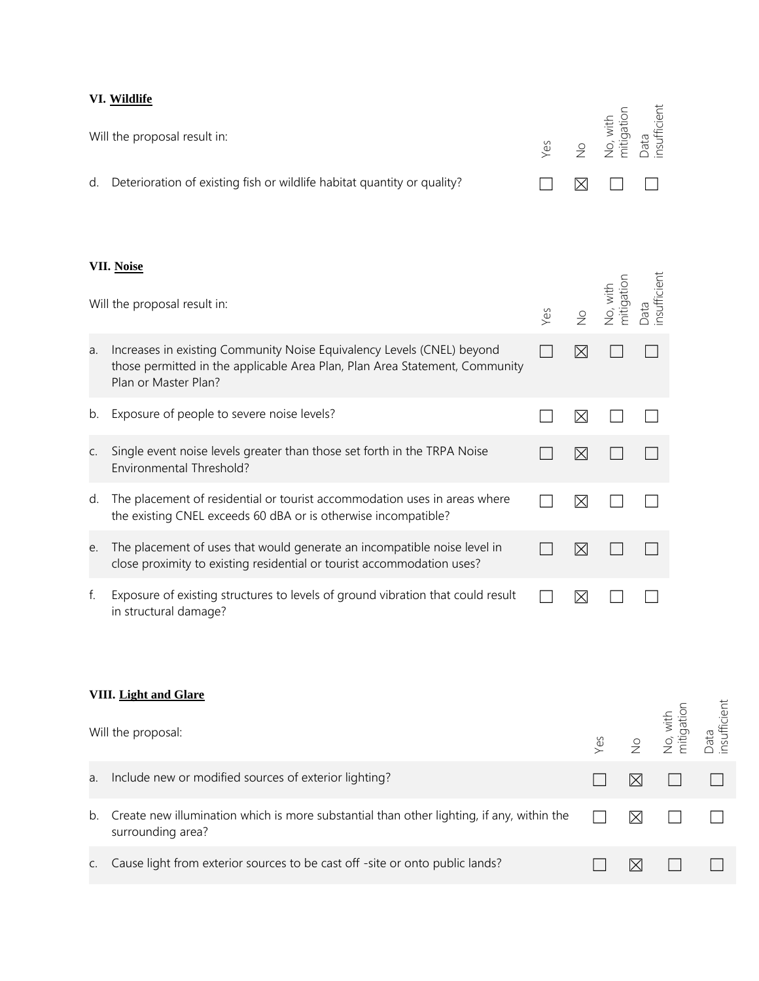# **VI. Wildlife**

|    | Will the proposal result in:                                                                                                                                                  | Yes | $\frac{1}{2}$ | mitigation<br>No, with | nsufficient<br>Data |
|----|-------------------------------------------------------------------------------------------------------------------------------------------------------------------------------|-----|---------------|------------------------|---------------------|
| d. | Deterioration of existing fish or wildlife habitat quantity or quality?                                                                                                       |     | $\times$      |                        |                     |
|    | VII. Noise<br>Will the proposal result in:                                                                                                                                    | Yes | $\frac{1}{2}$ | mitigation<br>No, with | nsufficient<br>Data |
| a. | Increases in existing Community Noise Equivalency Levels (CNEL) beyond<br>those permitted in the applicable Area Plan, Plan Area Statement, Community<br>Plan or Master Plan? |     | $\boxtimes$   |                        |                     |
| b. | Exposure of people to severe noise levels?                                                                                                                                    |     | $\boxtimes$   |                        |                     |
| C. | Single event noise levels greater than those set forth in the TRPA Noise<br>Environmental Threshold?                                                                          |     | $\boxtimes$   |                        |                     |
| d. | The placement of residential or tourist accommodation uses in areas where<br>the existing CNEL exceeds 60 dBA or is otherwise incompatible?                                   |     | ⊠             |                        |                     |
| e. | The placement of uses that would generate an incompatible noise level in<br>close proximity to existing residential or tourist accommodation uses?                            |     | $\times$      |                        |                     |
| f. | Exposure of existing structures to levels of ground vibration that could result<br>in structural damage?                                                                      |     | $\boxtimes$   |                        |                     |

#### **VIII. Light and Glare**

|    | Will the proposal:                                                                                             |           | Yes<br>No, with<br>No, with<br>Eata<br>Data<br>insufficient |  |
|----|----------------------------------------------------------------------------------------------------------------|-----------|-------------------------------------------------------------|--|
| a. | Include new or modified sources of exterior lighting?                                                          |           |                                                             |  |
| b. | Create new illumination which is more substantial than other lighting, if any, within the<br>surrounding area? | $\bowtie$ |                                                             |  |
|    | Cause light from exterior sources to be cast off -site or onto public lands?                                   |           |                                                             |  |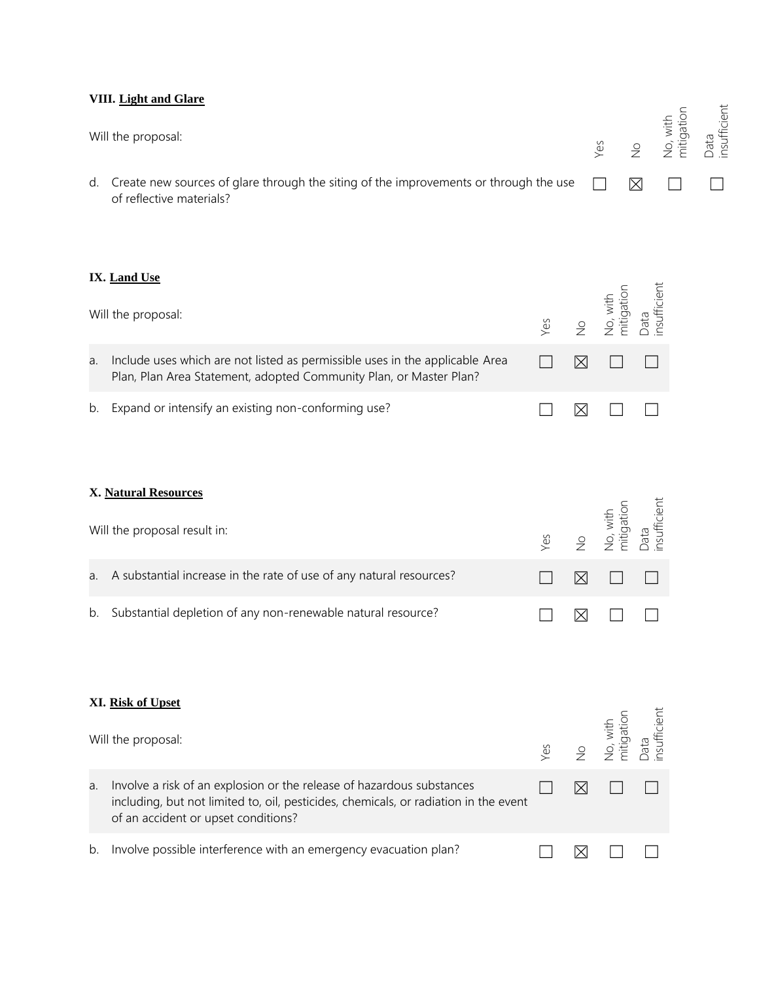#### **VIII. Light and Glare**

| Will the proposal:                                                                                                          |  | Yes<br>No, with<br>Mo, with<br>mitigatior<br>Data |  |
|-----------------------------------------------------------------------------------------------------------------------------|--|---------------------------------------------------|--|
| d. Create new sources of glare through the siting of the improvements or through the use $\Box$<br>of reflective materials? |  | $\boxtimes \quad \Box$                            |  |

### **IX. Land Use**

|    | Will the proposal:                                                                                                                                 |  | Yes<br>No, with<br>No, with<br>mitigation<br>Data<br>Insufficient |  |
|----|----------------------------------------------------------------------------------------------------------------------------------------------------|--|-------------------------------------------------------------------|--|
| a. | Include uses which are not listed as permissible uses in the applicable Area<br>Plan, Plan Area Statement, adopted Community Plan, or Master Plan? |  | $\boxtimes$ $\Box$ $\Box$                                         |  |
|    | b. Expand or intensify an existing non-conforming use?                                                                                             |  |                                                                   |  |

## **X. Natural Resources**

| Will the proposal result in:                                           |  | Yes<br>No, with<br>No, with<br>mitigation<br>Data<br>Data |  |
|------------------------------------------------------------------------|--|-----------------------------------------------------------|--|
| a. A substantial increase in the rate of use of any natural resources? |  | $\boxtimes$ $\Box$ $\Box$                                 |  |
| b. Substantial depletion of any non-renewable natural resource?        |  |                                                           |  |

### **XI. Risk of Upset**

|    | Will the proposal:                                                                                                                                                                                   |  | Yes<br>No, with<br>No, with<br>mitigation<br>Data<br>Insufficient |  |
|----|------------------------------------------------------------------------------------------------------------------------------------------------------------------------------------------------------|--|-------------------------------------------------------------------|--|
| a. | Involve a risk of an explosion or the release of hazardous substances<br>including, but not limited to, oil, pesticides, chemicals, or radiation in the event<br>of an accident or upset conditions? |  |                                                                   |  |
| b. | Involve possible interference with an emergency evacuation plan?                                                                                                                                     |  |                                                                   |  |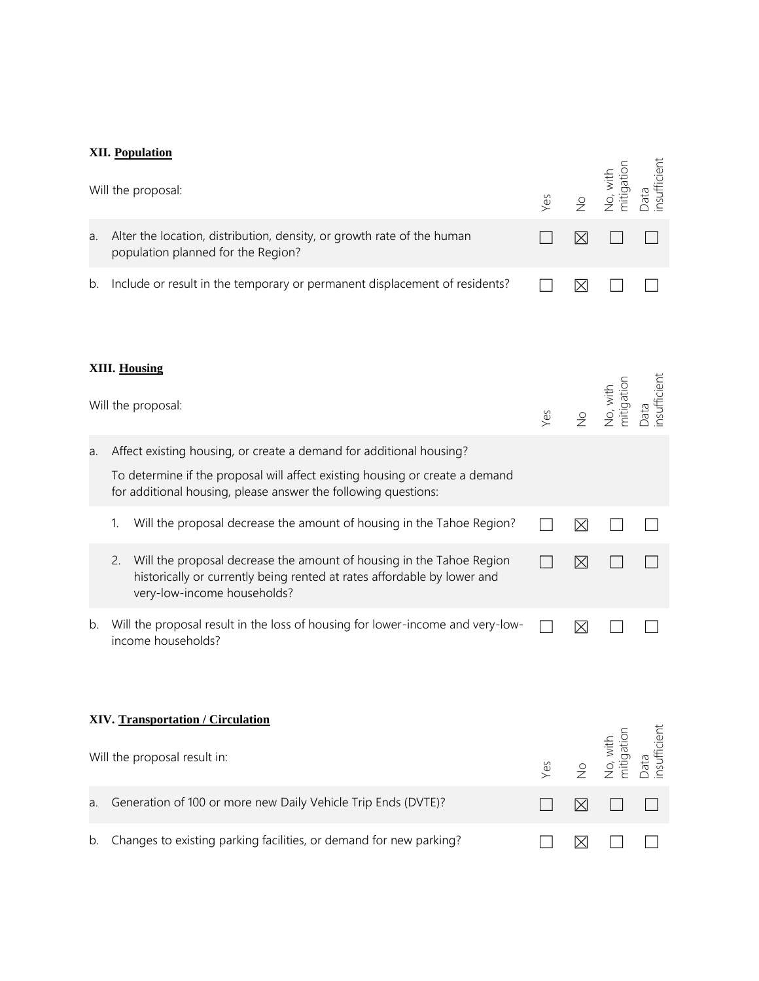## **XII. Population**

|    | Will the proposal:                                                                                                                                                                   | Yes | $\frac{1}{2}$ | No, with<br>mitigation | Data<br>insufficient  |
|----|--------------------------------------------------------------------------------------------------------------------------------------------------------------------------------------|-----|---------------|------------------------|-----------------------|
| a. | Alter the location, distribution, density, or growth rate of the human<br>population planned for the Region?                                                                         |     | $\boxtimes$   |                        |                       |
| b. | Include or result in the temporary or permanent displacement of residents?                                                                                                           |     | $\boxtimes$   |                        |                       |
|    | XIII. Housing                                                                                                                                                                        |     |               |                        |                       |
|    | Will the proposal:                                                                                                                                                                   | Yes | $\frac{1}{2}$ | No, with<br>mitigation | - und<br>insufficient |
| a. | Affect existing housing, or create a demand for additional housing?                                                                                                                  |     |               |                        |                       |
|    | To determine if the proposal will affect existing housing or create a demand<br>for additional housing, please answer the following questions:                                       |     |               |                        |                       |
|    | Will the proposal decrease the amount of housing in the Tahoe Region?<br>1.                                                                                                          |     | ⊠             |                        |                       |
|    | Will the proposal decrease the amount of housing in the Tahoe Region<br>2.<br>historically or currently being rented at rates affordable by lower and<br>very-low-income households? |     | $\boxtimes$   |                        |                       |
| b. | Will the proposal result in the loss of housing for lower-income and very-low-<br>income households?                                                                                 |     | ⊠             |                        |                       |
|    | XIV. Transportation / Circulation                                                                                                                                                    |     |               |                        |                       |
|    | Will the proposal result in:                                                                                                                                                         | Yes | $\frac{1}{2}$ | mitigation<br>No, with | nsufficient<br>Data   |
| a. | Generation of 100 or more new Daily Vehicle Trip Ends (DVTE)?                                                                                                                        |     | $\boxtimes$   |                        |                       |
| b. | Changes to existing parking facilities, or demand for new parking?                                                                                                                   |     | ⊠             |                        |                       |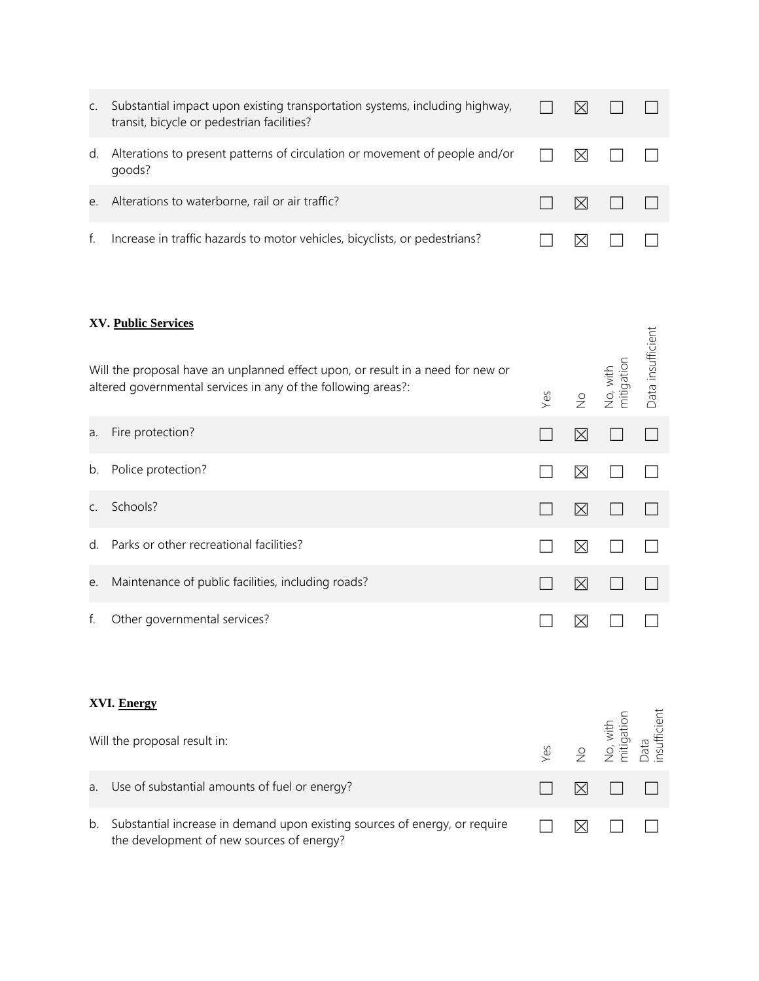| C. | Substantial impact upon existing transportation systems, including highway,<br>transit, bicycle or pedestrian facilities? | $\bowtie$ |                                                              |  |
|----|---------------------------------------------------------------------------------------------------------------------------|-----------|--------------------------------------------------------------|--|
| d. | Alterations to present patterns of circulation or movement of people and/or<br>goods?                                     | M         |                                                              |  |
| e. | Alterations to waterborne, rail or air traffic?                                                                           |           | $\mathsf{I} \times \mathsf{I}$ $\mathsf{I} \quad \mathsf{I}$ |  |
|    | Increase in traffic hazards to motor vehicles, bicyclists, or pedestrians?                                                |           |                                                              |  |

## **XV. Public Services**

|    | AV. <u>Public Services</u><br>Will the proposal have an unplanned effect upon, or result in a need for new or<br>altered governmental services in any of the following areas?: | Yes | $\frac{0}{2}$ | No, with<br>mitigation | Data insufficient    |
|----|--------------------------------------------------------------------------------------------------------------------------------------------------------------------------------|-----|---------------|------------------------|----------------------|
| a. | Fire protection?                                                                                                                                                               |     | $\boxtimes$   |                        |                      |
| b. | Police protection?                                                                                                                                                             |     | $\boxtimes$   |                        |                      |
| C. | Schools?                                                                                                                                                                       |     | $\boxtimes$   |                        |                      |
| d. | Parks or other recreational facilities?                                                                                                                                        |     | ⊠             |                        |                      |
| е. | Maintenance of public facilities, including roads?                                                                                                                             |     | $\boxtimes$   |                        |                      |
| f. | Other governmental services?                                                                                                                                                   |     | $\boxtimes$   |                        |                      |
|    | XVI. Energy                                                                                                                                                                    |     |               |                        |                      |
|    | Will the proposal result in:                                                                                                                                                   | Yes | $\frac{1}{2}$ | No, with<br>mitigation | Data<br>insufficient |
| a. | Use of substantial amounts of fuel or energy?                                                                                                                                  |     | $\boxtimes$   |                        |                      |
| b. | Substantial increase in demand upon existing sources of energy, or require<br>the development of new sources of energy?                                                        |     | ⊠             |                        |                      |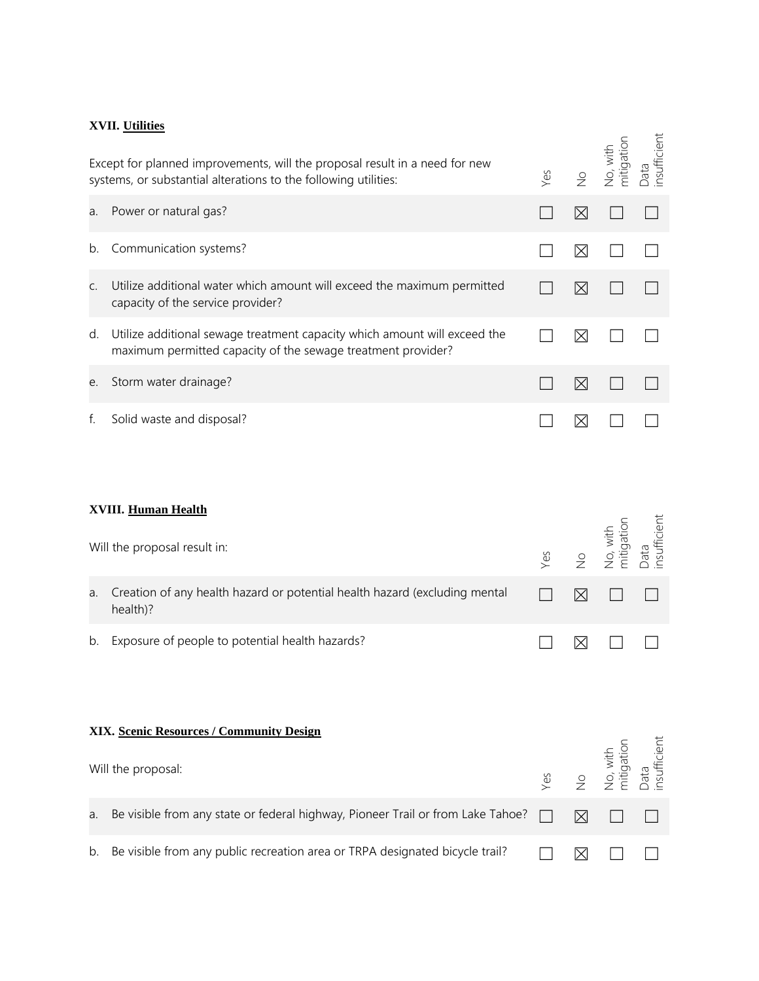## **XVII. Utilities**

Except for planned improvements, will the proposal result in a need for new systems, or substantial alterations to the following utilities: Yes No No, with mitigation Data insufficient

| a. | Power or natural gas?                                                                                                                     |   |  |
|----|-------------------------------------------------------------------------------------------------------------------------------------------|---|--|
|    | b. Communication systems?                                                                                                                 | ⋉ |  |
| C. | Utilize additional water which amount will exceed the maximum permitted<br>capacity of the service provider?                              | ⋉ |  |
| d. | Utilize additional sewage treatment capacity which amount will exceed the<br>maximum permitted capacity of the sewage treatment provider? | ⋉ |  |
| e. | Storm water drainage?                                                                                                                     |   |  |
|    | Solid waste and disposal?                                                                                                                 |   |  |

### **XVIII. Human Health**

|    | <u>луш. пштап пеани</u><br>Will the proposal result in:                                | Yes | $\frac{1}{2}$ | No, with<br>mitigation | Data<br>insufficient |
|----|----------------------------------------------------------------------------------------|-----|---------------|------------------------|----------------------|
| a. | Creation of any health hazard or potential health hazard (excluding mental<br>health)? |     | ⊠             |                        |                      |
| b. | Exposure of people to potential health hazards?                                        |     | ⊠             |                        |                      |
|    | XIX. Scenic Resources / Community Design<br>Will the proposal:                         | Yes | $\frac{1}{2}$ | No, with<br>mitigation | Data<br>insufficient |
| a. | Be visible from any state or federal highway, Pioneer Trail or from Lake Tahoe?        |     | $\boxtimes$   |                        |                      |
| b. | Be visible from any public recreation area or TRPA designated bicycle trail?           |     |               |                        |                      |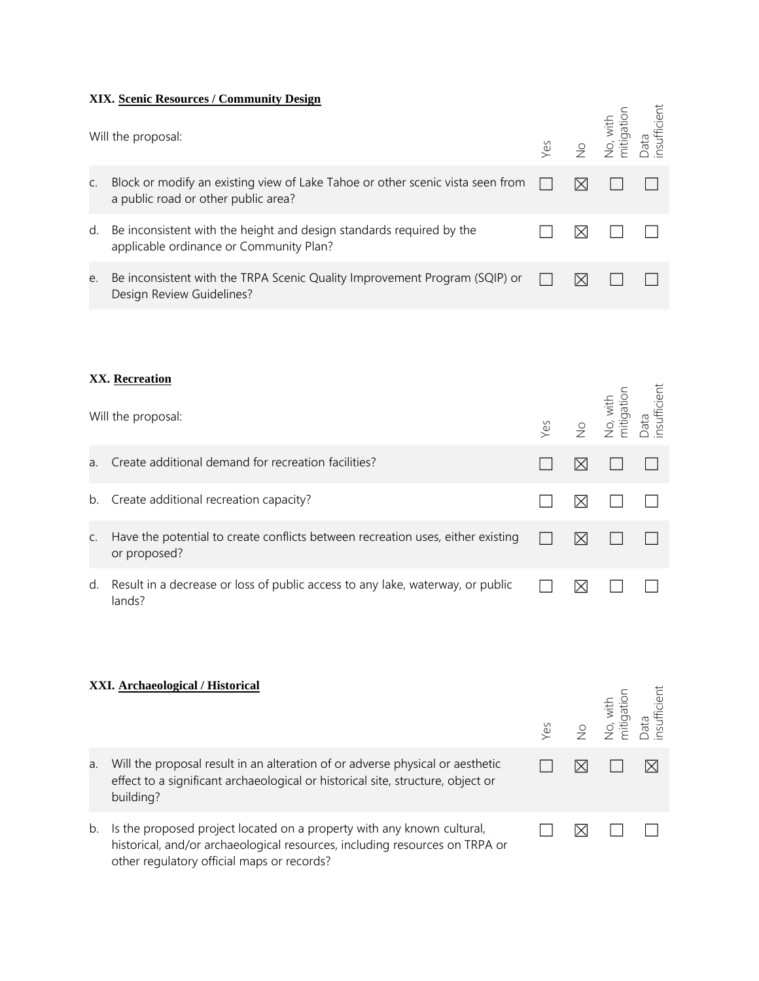#### **XIX. Scenic Resources / Community Design**

|                | Will the proposal:                                                                                                    |  | Yes<br>No, with<br>No, with<br>mitigation<br>Data<br>Data |  |
|----------------|-----------------------------------------------------------------------------------------------------------------------|--|-----------------------------------------------------------|--|
| $\mathsf{C}$ . | Block or modify an existing view of Lake Tahoe or other scenic vista seen from<br>a public road or other public area? |  |                                                           |  |
| d.             | Be inconsistent with the height and design standards required by the<br>applicable ordinance or Community Plan?       |  |                                                           |  |
| e.             | Be inconsistent with the TRPA Scenic Quality Improvement Program (SQIP) or<br>Design Review Guidelines?               |  |                                                           |  |

### **XX. Recreation**

| Will the proposal: |                                                                                                 | $Y$ es |   | No<br>Mo, with<br>mitigation | Data<br>nsufficient |
|--------------------|-------------------------------------------------------------------------------------------------|--------|---|------------------------------|---------------------|
| a.                 | Create additional demand for recreation facilities?                                             |        | ⋉ |                              |                     |
|                    | b. Create additional recreation capacity?                                                       |        |   |                              |                     |
| C.                 | Have the potential to create conflicts between recreation uses, either existing<br>or proposed? |        | ⋉ |                              |                     |
| d.                 | Result in a decrease or loss of public access to any lake, waterway, or public<br>lands?        |        |   |                              |                     |

#### **XXI. Archaeological / Historical**

|    | XXI. Archaeological / Historical                                                                                                                                                                    |  | Yes<br>No<br>No, with<br>mitigation<br>Data<br>Data |  |
|----|-----------------------------------------------------------------------------------------------------------------------------------------------------------------------------------------------------|--|-----------------------------------------------------|--|
| a. | Will the proposal result in an alteration of or adverse physical or aesthetic<br>effect to a significant archaeological or historical site, structure, object or<br>building?                       |  |                                                     |  |
| b. | Is the proposed project located on a property with any known cultural,<br>historical, and/or archaeological resources, including resources on TRPA or<br>other regulatory official maps or records? |  |                                                     |  |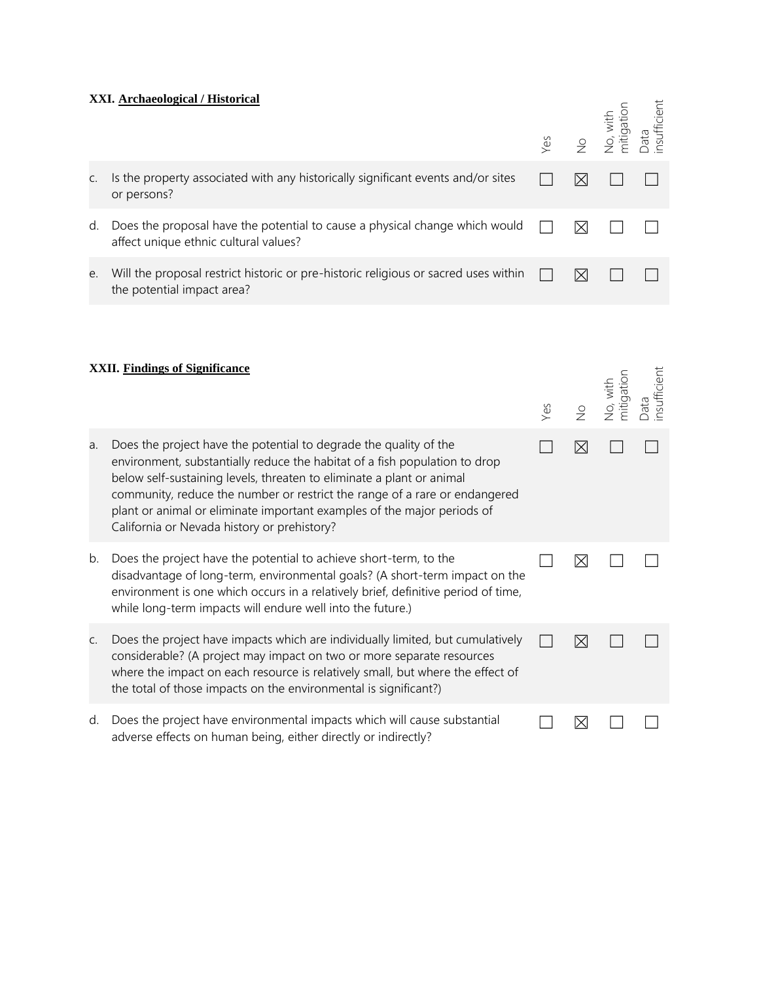# **XXI. Archaeological / Historical**

|    | <u> XXI. Archaeological / Historical</u>                                                                                                                                                                                                                                                                                                                                                                                         | Yes | $\frac{1}{2}$ | mitigation<br>No, with | nsufficient<br>Data |
|----|----------------------------------------------------------------------------------------------------------------------------------------------------------------------------------------------------------------------------------------------------------------------------------------------------------------------------------------------------------------------------------------------------------------------------------|-----|---------------|------------------------|---------------------|
| C. | Is the property associated with any historically significant events and/or sites<br>or persons?                                                                                                                                                                                                                                                                                                                                  |     | ⊠             |                        |                     |
| d. | Does the proposal have the potential to cause a physical change which would<br>affect unique ethnic cultural values?                                                                                                                                                                                                                                                                                                             |     | ⊠             |                        |                     |
| e. | Will the proposal restrict historic or pre-historic religious or sacred uses within<br>the potential impact area?                                                                                                                                                                                                                                                                                                                |     | ⊠             |                        |                     |
|    | <b>XXII.</b> Findings of Significance                                                                                                                                                                                                                                                                                                                                                                                            | Yes | $\frac{1}{2}$ | No, with<br>mitigation |                     |
| a. | Does the project have the potential to degrade the quality of the<br>environment, substantially reduce the habitat of a fish population to drop<br>below self-sustaining levels, threaten to eliminate a plant or animal<br>community, reduce the number or restrict the range of a rare or endangered<br>plant or animal or eliminate important examples of the major periods of<br>California or Nevada history or prehistory? |     | ⊠             |                        |                     |
| b. | Does the project have the potential to achieve short-term, to the<br>disadvantage of long-term, environmental goals? (A short-term impact on the<br>environment is one which occurs in a relatively brief, definitive period of time,<br>while long-term impacts will endure well into the future.)                                                                                                                              |     | ⊠             |                        |                     |
| C. | Does the project have impacts which are individually limited, but cumulatively<br>considerable? (A project may impact on two or more separate resources<br>where the impact on each resource is relatively small, but where the effect of<br>the total of those impacts on the environmental is significant?)                                                                                                                    |     | ⊠             |                        |                     |
| d. | Does the project have environmental impacts which will cause substantial                                                                                                                                                                                                                                                                                                                                                         |     | $\boxtimes$   |                        |                     |

adverse effects on human being, either directly or indirectly?